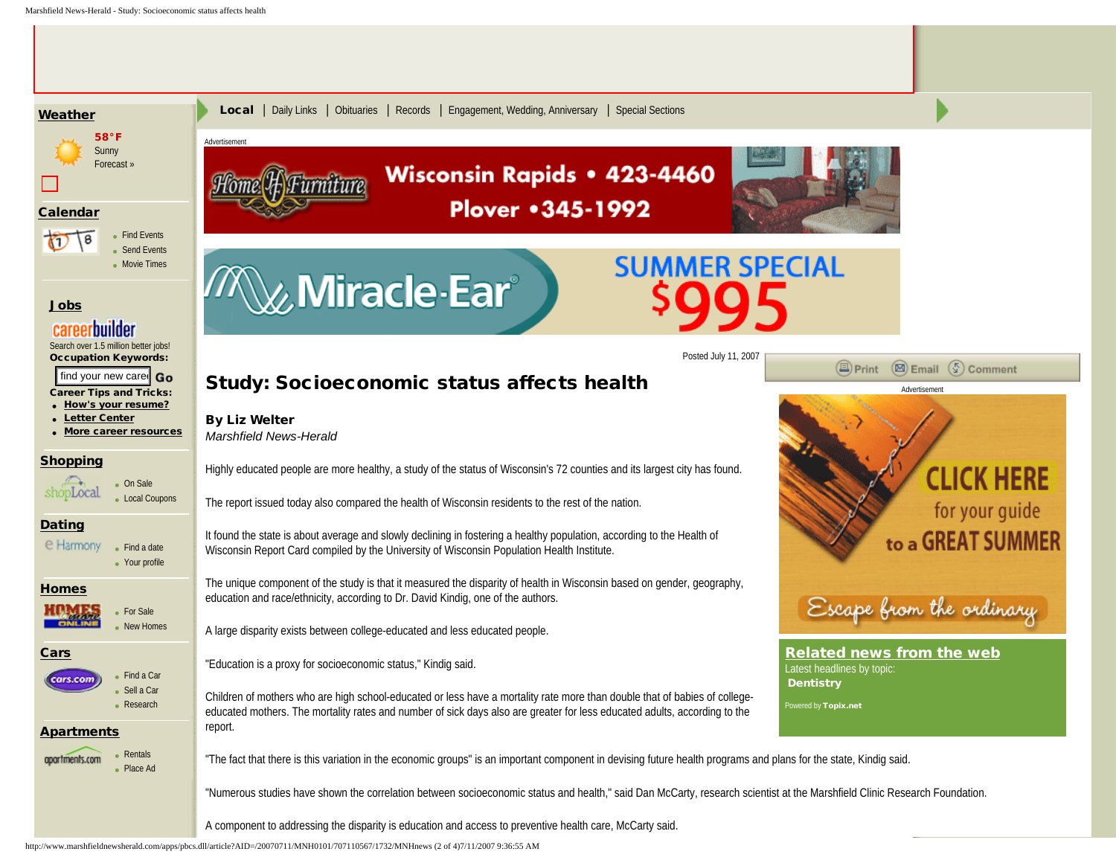